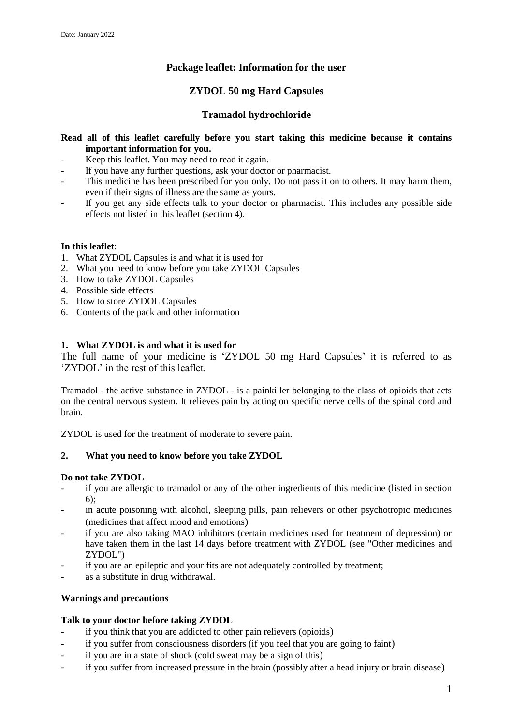# **Package leaflet: Information for the user**

# **ZYDOL 50 mg Hard Capsules**

# **Tramadol hydrochloride**

## **Read all of this leaflet carefully before you start taking this medicine because it contains important information for you.**

- Keep this leaflet. You may need to read it again.
- If you have any further questions, ask your doctor or pharmacist.
- This medicine has been prescribed for you only. Do not pass it on to others. It may harm them, even if their signs of illness are the same as yours.
- If you get any side effects talk to your doctor or pharmacist. This includes any possible side effects not listed in this leaflet (section 4).

## **In this leaflet**:

- 1. What ZYDOL Capsules is and what it is used for
- 2. What you need to know before you take ZYDOL Capsules
- 3. How to take ZYDOL Capsules
- 4. Possible side effects
- 5. How to store ZYDOL Capsules
- 6. Contents of the pack and other information

## **1. What ZYDOL is and what it is used for**

The full name of your medicine is 'ZYDOL 50 mg Hard Capsules' it is referred to as 'ZYDOL' in the rest of this leaflet.

Tramadol - the active substance in ZYDOL - is a painkiller belonging to the class of opioids that acts on the central nervous system. It relieves pain by acting on specific nerve cells of the spinal cord and brain.

ZYDOL is used for the treatment of moderate to severe pain.

## **2. What you need to know before you take ZYDOL**

## **Do not take ZYDOL**

- if you are allergic to tramadol or any of the other ingredients of this medicine (listed in section 6);
- in acute poisoning with alcohol, sleeping pills, pain relievers or other psychotropic medicines (medicines that affect mood and emotions)
- if you are also taking MAO inhibitors (certain medicines used for treatment of depression) or have taken them in the last 14 days before treatment with ZYDOL (see "Other medicines and ZYDOL")
- if you are an epileptic and your fits are not adequately controlled by treatment;
- as a substitute in drug withdrawal.

## **Warnings and precautions**

## **Talk to your doctor before taking ZYDOL**

- if you think that you are addicted to other pain relievers (opioids)
- if you suffer from consciousness disorders (if you feel that you are going to faint)
- if you are in a state of shock (cold sweat may be a sign of this)
- if you suffer from increased pressure in the brain (possibly after a head injury or brain disease)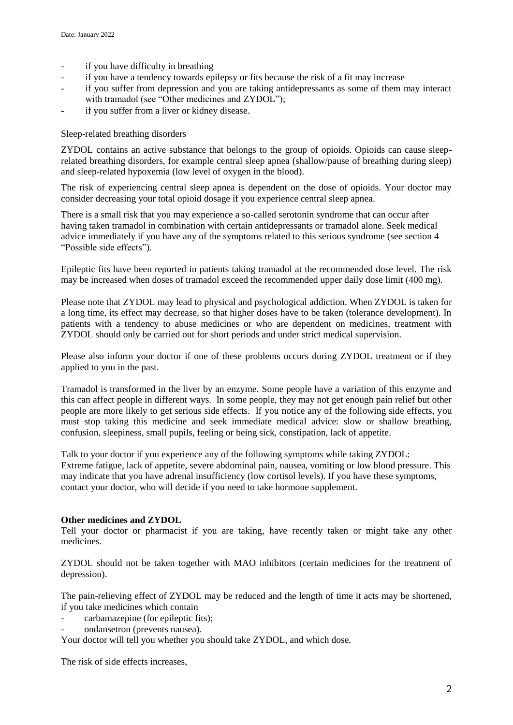- if you have difficulty in breathing
- if you have a tendency towards epilepsy or fits because the risk of a fit may increase
- if you suffer from depression and you are taking antidepressants as some of them may interact with tramadol (see "Other medicines and ZYDOL");
- if you suffer from a liver or kidney disease.

## Sleep-related breathing disorders

ZYDOL contains an active substance that belongs to the group of opioids. Opioids can cause sleeprelated breathing disorders, for example central sleep apnea (shallow/pause of breathing during sleep) and sleep-related hypoxemia (low level of oxygen in the blood).

The risk of experiencing central sleep apnea is dependent on the dose of opioids. Your doctor may consider decreasing your total opioid dosage if you experience central sleep apnea.

There is a small risk that you may experience a so-called serotonin syndrome that can occur after having taken tramadol in combination with certain antidepressants or tramadol alone. Seek medical advice immediately if you have any of the symptoms related to this serious syndrome (see section 4 "Possible side effects").

Epileptic fits have been reported in patients taking tramadol at the recommended dose level. The risk may be increased when doses of tramadol exceed the recommended upper daily dose limit (400 mg).

Please note that ZYDOL may lead to physical and psychological addiction. When ZYDOL is taken for a long time, its effect may decrease, so that higher doses have to be taken (tolerance development). In patients with a tendency to abuse medicines or who are dependent on medicines, treatment with ZYDOL should only be carried out for short periods and under strict medical supervision.

Please also inform your doctor if one of these problems occurs during ZYDOL treatment or if they applied to you in the past.

Tramadol is transformed in the liver by an enzyme. Some people have a variation of this enzyme and this can affect people in different ways. In some people, they may not get enough pain relief but other people are more likely to get serious side effects. If you notice any of the following side effects, you must stop taking this medicine and seek immediate medical advice: slow or shallow breathing, confusion, sleepiness, small pupils, feeling or being sick, constipation, lack of appetite.

Talk to your doctor if you experience any of the following symptoms while taking ZYDOL: Extreme fatigue, lack of appetite, severe abdominal pain, nausea, vomiting or low blood pressure. This may indicate that you have adrenal insufficiency (low cortisol levels). If you have these symptoms, contact your doctor, who will decide if you need to take hormone supplement.

## **Other medicines and ZYDOL**

Tell your doctor or pharmacist if you are taking, have recently taken or might take any other medicines.

ZYDOL should not be taken together with MAO inhibitors (certain medicines for the treatment of depression).

The pain-relieving effect of ZYDOL may be reduced and the length of time it acts may be shortened, if you take medicines which contain

- carbamazepine (for epileptic fits);
- ondansetron (prevents nausea).

Your doctor will tell you whether you should take ZYDOL, and which dose.

The risk of side effects increases,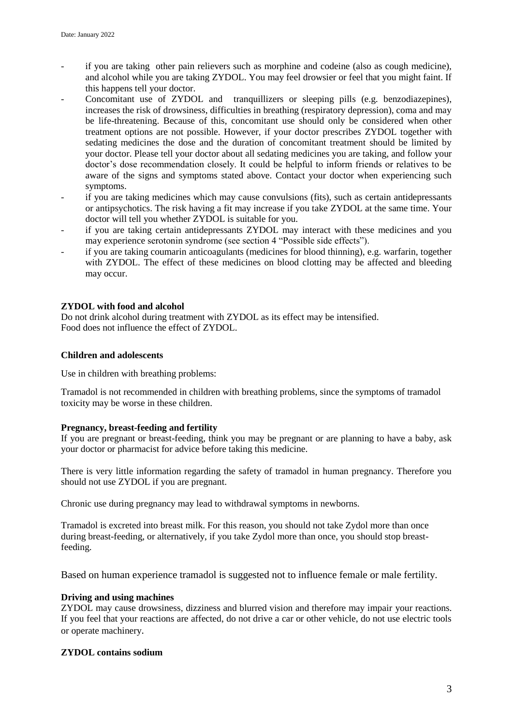- if you are taking other pain relievers such as morphine and codeine (also as cough medicine), and alcohol while you are taking ZYDOL. You may feel drowsier or feel that you might faint. If this happens tell your doctor.
- Concomitant use of ZYDOL and tranquillizers or sleeping pills (e.g. benzodiazepines), increases the risk of drowsiness, difficulties in breathing (respiratory depression), coma and may be life-threatening. Because of this, concomitant use should only be considered when other treatment options are not possible. However, if your doctor prescribes ZYDOL together with sedating medicines the dose and the duration of concomitant treatment should be limited by your doctor. Please tell your doctor about all sedating medicines you are taking, and follow your doctor's dose recommendation closely. It could be helpful to inform friends or relatives to be aware of the signs and symptoms stated above. Contact your doctor when experiencing such symptoms.
- if you are taking medicines which may cause convulsions (fits), such as certain antidepressants or antipsychotics. The risk having a fit may increase if you take ZYDOL at the same time. Your doctor will tell you whether ZYDOL is suitable for you.
- if you are taking certain antidepressants ZYDOL may interact with these medicines and you may experience serotonin syndrome (see section 4 "Possible side effects").
- if you are taking coumarin anticoagulants (medicines for blood thinning), e.g. warfarin, together with ZYDOL. The effect of these medicines on blood clotting may be affected and bleeding may occur.

## **ZYDOL with food and alcohol**

Do not drink alcohol during treatment with ZYDOL as its effect may be intensified. Food does not influence the effect of ZYDOL.

## **Children and adolescents**

Use in children with breathing problems:

Tramadol is not recommended in children with breathing problems, since the symptoms of tramadol toxicity may be worse in these children.

## **Pregnancy, breast-feeding and fertility**

If you are pregnant or breast-feeding, think you may be pregnant or are planning to have a baby, ask your doctor or pharmacist for advice before taking this medicine.

There is very little information regarding the safety of tramadol in human pregnancy. Therefore you should not use ZYDOL if you are pregnant.

Chronic use during pregnancy may lead to withdrawal symptoms in newborns.

Tramadol is excreted into breast milk. For this reason, you should not take Zydol more than once during breast-feeding, or alternatively, if you take Zydol more than once, you should stop breastfeeding.

Based on human experience tramadol is suggested not to influence female or male fertility.

## **Driving and using machines**

ZYDOL may cause drowsiness, dizziness and blurred vision and therefore may impair your reactions. If you feel that your reactions are affected, do not drive a car or other vehicle, do not use electric tools or operate machinery.

## **ZYDOL contains sodium**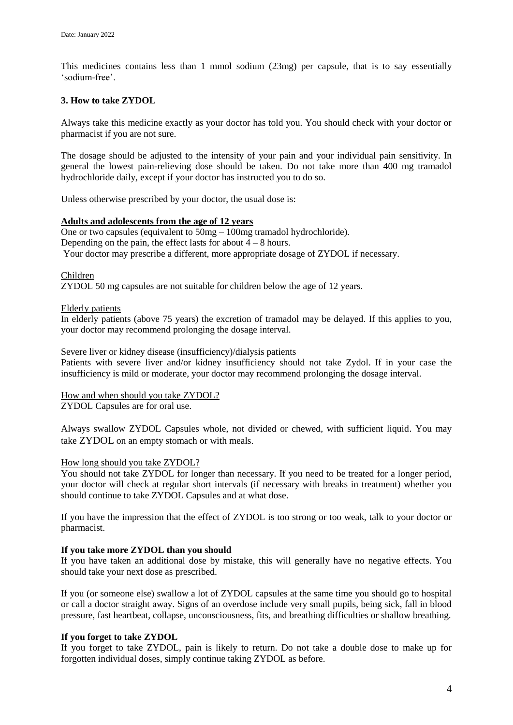This medicines contains less than 1 mmol sodium (23mg) per capsule, that is to say essentially 'sodium-free'.

## **3. How to take ZYDOL**

Always take this medicine exactly as your doctor has told you. You should check with your doctor or pharmacist if you are not sure.

The dosage should be adjusted to the intensity of your pain and your individual pain sensitivity. In general the lowest pain-relieving dose should be taken. Do not take more than 400 mg tramadol hydrochloride daily, except if your doctor has instructed you to do so.

Unless otherwise prescribed by your doctor, the usual dose is:

#### **Adults and adolescents from the age of 12 years**

One or two capsules (equivalent to 50mg – 100mg tramadol hydrochloride)*.* Depending on the pain, the effect lasts for about  $4 - 8$  hours. Your doctor may prescribe a different, more appropriate dosage of ZYDOL if necessary.

#### Children

ZYDOL 50 mg capsules are not suitable for children below the age of 12 years.

#### Elderly patients

In elderly patients (above 75 years) the excretion of tramadol may be delayed. If this applies to you, your doctor may recommend prolonging the dosage interval.

#### Severe liver or kidney disease (insufficiency)/dialysis patients

Patients with severe liver and/or kidney insufficiency should not take Zydol. If in your case the insufficiency is mild or moderate, your doctor may recommend prolonging the dosage interval.

How and when should you take ZYDOL?

ZYDOL Capsules are for oral use.

Always swallow ZYDOL Capsules whole, not divided or chewed, with sufficient liquid. You may take ZYDOL on an empty stomach or with meals.

## How long should you take ZYDOL?

You should not take ZYDOL for longer than necessary. If you need to be treated for a longer period, your doctor will check at regular short intervals (if necessary with breaks in treatment) whether you should continue to take ZYDOL Capsules and at what dose.

If you have the impression that the effect of ZYDOL is too strong or too weak, talk to your doctor or pharmacist.

## **If you take more ZYDOL than you should**

If you have taken an additional dose by mistake, this will generally have no negative effects. You should take your next dose as prescribed.

If you (or someone else) swallow a lot of ZYDOL capsules at the same time you should go to hospital or call a doctor straight away. Signs of an overdose include very small pupils, being sick, fall in blood pressure, fast heartbeat, collapse, unconsciousness, fits, and breathing difficulties or shallow breathing.

## **If you forget to take ZYDOL**

If you forget to take ZYDOL, pain is likely to return. Do not take a double dose to make up for forgotten individual doses, simply continue taking ZYDOL as before.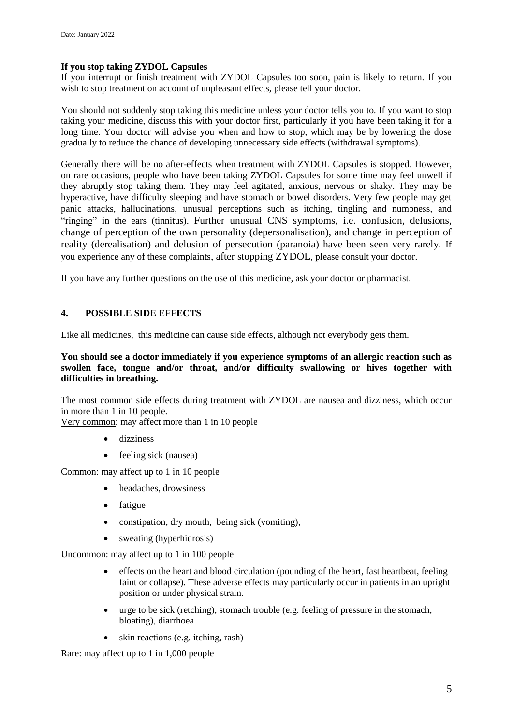## **If you stop taking ZYDOL Capsules**

If you interrupt or finish treatment with ZYDOL Capsules too soon, pain is likely to return. If you wish to stop treatment on account of unpleasant effects, please tell your doctor.

You should not suddenly stop taking this medicine unless your doctor tells you to. If you want to stop taking your medicine, discuss this with your doctor first, particularly if you have been taking it for a long time. Your doctor will advise you when and how to stop, which may be by lowering the dose gradually to reduce the chance of developing unnecessary side effects (withdrawal symptoms).

Generally there will be no after-effects when treatment with ZYDOL Capsules is stopped. However, on rare occasions, people who have been taking ZYDOL Capsules for some time may feel unwell if they abruptly stop taking them. They may feel agitated, anxious, nervous or shaky. They may be hyperactive, have difficulty sleeping and have stomach or bowel disorders. Very few people may get panic attacks, hallucinations, unusual perceptions such as itching, tingling and numbness, and "ringing" in the ears (tinnitus). Further unusual CNS symptoms, i.e. confusion, delusions, change of perception of the own personality (depersonalisation), and change in perception of reality (derealisation) and delusion of persecution (paranoia) have been seen very rarely. If you experience any of these complaints, after stopping ZYDOL, please consult your doctor.

If you have any further questions on the use of this medicine, ask your doctor or pharmacist.

## **4. POSSIBLE SIDE EFFECTS**

Like all medicines, this medicine can cause side effects, although not everybody gets them.

## **You should see a doctor immediately if you experience symptoms of an allergic reaction such as swollen face, tongue and/or throat, and/or difficulty swallowing or hives together with difficulties in breathing.**

The most common side effects during treatment with ZYDOL are nausea and dizziness, which occur in more than 1 in 10 people.

Very common: may affect more than 1 in 10 people

- dizziness
- feeling sick (nausea)

Common: may affect up to 1 in 10 people

- headaches, drowsiness
- fatigue
- constipation, dry mouth, being sick (vomiting),
- sweating (hyperhidrosis)

Uncommon: may affect up to 1 in 100 people

- effects on the heart and blood circulation (pounding of the heart, fast heartbeat, feeling faint or collapse). These adverse effects may particularly occur in patients in an upright position or under physical strain.
- urge to be sick (retching), stomach trouble (e.g. feeling of pressure in the stomach, bloating), diarrhoea
- skin reactions (e.g. itching, rash)

Rare: may affect up to 1 in 1,000 people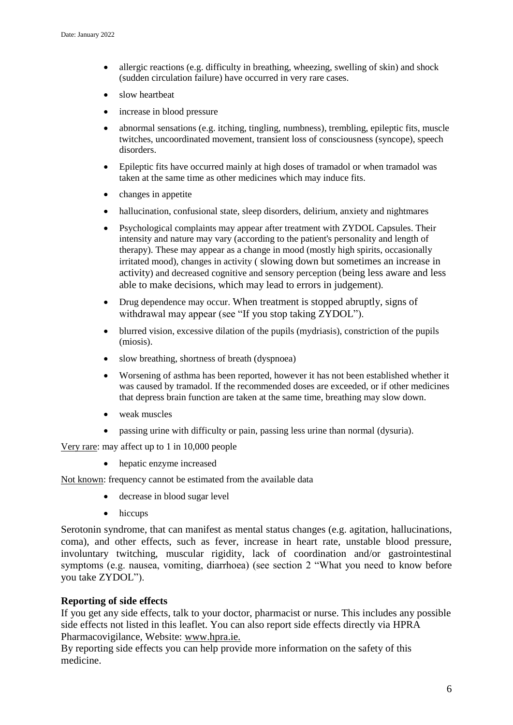- allergic reactions (e.g. difficulty in breathing, wheezing, swelling of skin) and shock (sudden circulation failure) have occurred in very rare cases.
- slow heartbeat
- increase in blood pressure
- abnormal sensations (e.g. itching, tingling, numbness), trembling, epileptic fits, muscle twitches, uncoordinated movement, transient loss of consciousness (syncope), speech disorders.
- Epileptic fits have occurred mainly at high doses of tramadol or when tramadol was taken at the same time as other medicines which may induce fits.
- changes in appetite
- hallucination, confusional state, sleep disorders, delirium, anxiety and nightmares
- Psychological complaints may appear after treatment with ZYDOL Capsules. Their intensity and nature may vary (according to the patient's personality and length of therapy). These may appear as a change in mood (mostly high spirits, occasionally irritated mood), changes in activity ( slowing down but sometimes an increase in activity) and decreased cognitive and sensory perception (being less aware and less able to make decisions, which may lead to errors in judgement).
- Drug dependence may occur. When treatment is stopped abruptly, signs of withdrawal may appear (see "If you stop taking ZYDOL").
- blurred vision, excessive dilation of the pupils (mydriasis), constriction of the pupils (miosis).
- slow breathing, shortness of breath (dyspnoea)
- Worsening of asthma has been reported, however it has not been established whether it was caused by tramadol. If the recommended doses are exceeded, or if other medicines that depress brain function are taken at the same time, breathing may slow down.
- weak muscles
- passing urine with difficulty or pain, passing less urine than normal (dysuria).

Very rare: may affect up to 1 in 10,000 people

• hepatic enzyme increased

Not known: frequency cannot be estimated from the available data

- decrease in blood sugar level
- hiccups

Serotonin syndrome, that can manifest as mental status changes (e.g. agitation, hallucinations, coma), and other effects, such as fever, increase in heart rate, unstable blood pressure, involuntary twitching, muscular rigidity, lack of coordination and/or gastrointestinal symptoms (e.g. nausea, vomiting, diarrhoea) (see section 2 "What you need to know before you take ZYDOL").

# **Reporting of side effects**

If you get any side effects, talk to your doctor, pharmacist or nurse. This includes any possible side effects not listed in this leaflet. You can also report side effects directly via HPRA Pharmacovigilance, Website: [www.hpra.ie.](http://www.imb.ie/)

By reporting side effects you can help provide more information on the safety of this medicine.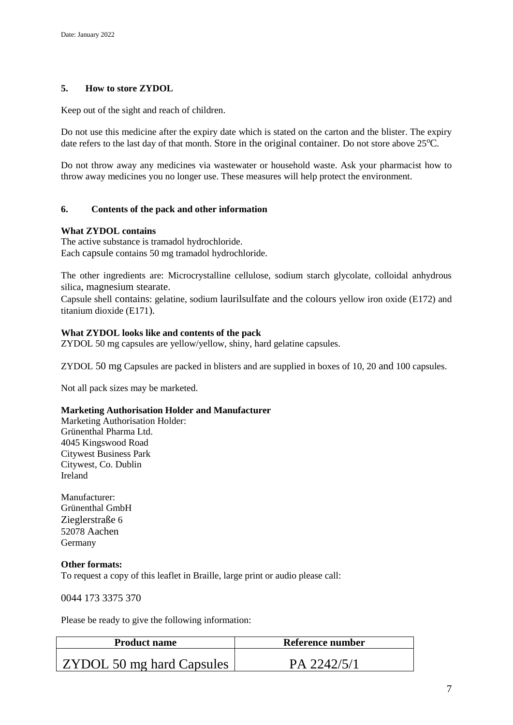# **5. How to store ZYDOL**

Keep out of the sight and reach of children.

Do not use this medicine after the expiry date which is stated on the carton and the blister. The expiry date refers to the last day of that month. Store in the original container. Do not store above  $25^{\circ}\text{C}$ .

Do not throw away any medicines via wastewater or household waste. Ask your pharmacist how to throw away medicines you no longer use. These measures will help protect the environment.

## **6. Contents of the pack and other information**

#### **What ZYDOL contains**

The active substance is tramadol hydrochloride. Each capsule contains 50 mg tramadol hydrochloride.

The other ingredients are: Microcrystalline cellulose, sodium starch glycolate, colloidal anhydrous silica, magnesium stearate.

Capsule shell contains: gelatine, sodium laurilsulfate and the colours yellow iron oxide (E172) and titanium dioxide (E171).

#### **What ZYDOL looks like and contents of the pack**

ZYDOL 50 mg capsules are yellow/yellow, shiny, hard gelatine capsules.

ZYDOL 50 mg Capsules are packed in blisters and are supplied in boxes of 10, 20 and 100 capsules.

Not all pack sizes may be marketed.

## **Marketing Authorisation Holder and Manufacturer**

Marketing Authorisation Holder: Grünenthal Pharma Ltd. 4045 Kingswood Road Citywest Business Park Citywest, Co. Dublin Ireland

Manufacturer: Grünenthal GmbH Zieglerstraße 6 52078 Aachen Germany

#### **Other formats:**

To request a copy of this leaflet in Braille, large print or audio please call:

0044 173 3375 370

Please be ready to give the following information:

| <b>Product name</b>              | Reference number |
|----------------------------------|------------------|
| <b>ZYDOL 50 mg hard Capsules</b> | PA 2242/5/1      |